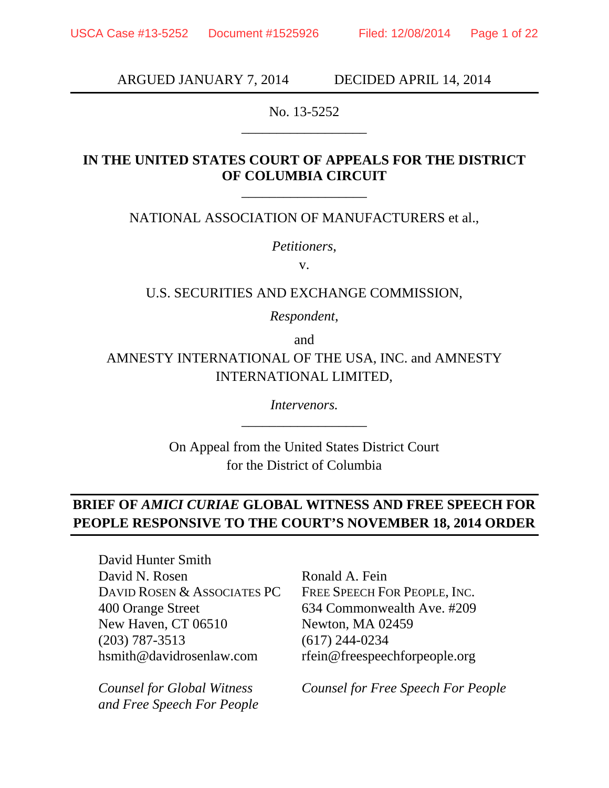ARGUED JANUARY 7, 2014 DECIDED APRIL 14, 2014

No. 13-5252 \_\_\_\_\_\_\_\_\_\_\_\_\_\_\_\_\_\_

## **IN THE UNITED STATES COURT OF APPEALS FOR THE DISTRICT OF COLUMBIA CIRCUIT**

NATIONAL ASSOCIATION OF MANUFACTURERS et al.,

\_\_\_\_\_\_\_\_\_\_\_\_\_\_\_\_\_\_

*Petitioners*,

v.

### U.S. SECURITIES AND EXCHANGE COMMISSION,

*Respondent*,

and

AMNESTY INTERNATIONAL OF THE USA, INC. and AMNESTY INTERNATIONAL LIMITED,

> *Intervenors.*  \_\_\_\_\_\_\_\_\_\_\_\_\_\_\_\_\_\_

On Appeal from the United States District Court for the District of Columbia

## **BRIEF OF** *AMICI CURIAE* **GLOBAL WITNESS AND FREE SPEECH FOR PEOPLE RESPONSIVE TO THE COURT'S NOVEMBER 18, 2014 ORDER**

David Hunter Smith David N. Rosen DAVID ROSEN & ASSOCIATES PC 400 Orange Street New Haven, CT 06510 (203) 787-3513 hsmith@davidrosenlaw.com

*Counsel for Global Witness and Free Speech For People*

Ronald A. Fein FREE SPEECH FOR PEOPLE, INC. 634 Commonwealth Ave. #209 Newton, MA 02459 (617) 244-0234 rfein@freespeechforpeople.org

*Counsel for Free Speech For People*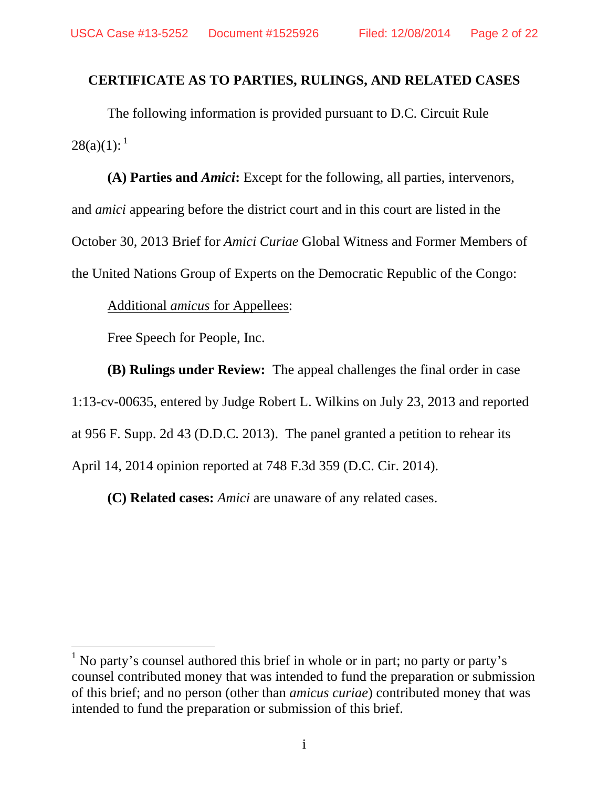### **CERTIFICATE AS TO PARTIES, RULINGS, AND RELATED CASES**

The following information is provided pursuant to D.C. Circuit Rule  $28(a)(1):$ <sup>1</sup>

**(A) Parties and** *Amici***:** Except for the following, all parties, intervenors, and *amici* appearing before the district court and in this court are listed in the October 30, 2013 Brief for *Amici Curiae* Global Witness and Former Members of the United Nations Group of Experts on the Democratic Republic of the Congo:

Additional *amicus* for Appellees:

Free Speech for People, Inc.

**(B) Rulings under Review:** The appeal challenges the final order in case 1:13-cv-00635, entered by Judge Robert L. Wilkins on July 23, 2013 and reported at 956 F. Supp. 2d 43 (D.D.C. 2013). The panel granted a petition to rehear its April 14, 2014 opinion reported at 748 F.3d 359 (D.C. Cir. 2014).

**(C) Related cases:** *Amici* are unaware of any related cases.

<sup>&</sup>lt;sup>1</sup> No party's counsel authored this brief in whole or in part; no party or party's counsel contributed money that was intended to fund the preparation or submission of this brief; and no person (other than *amicus curiae*) contributed money that was intended to fund the preparation or submission of this brief.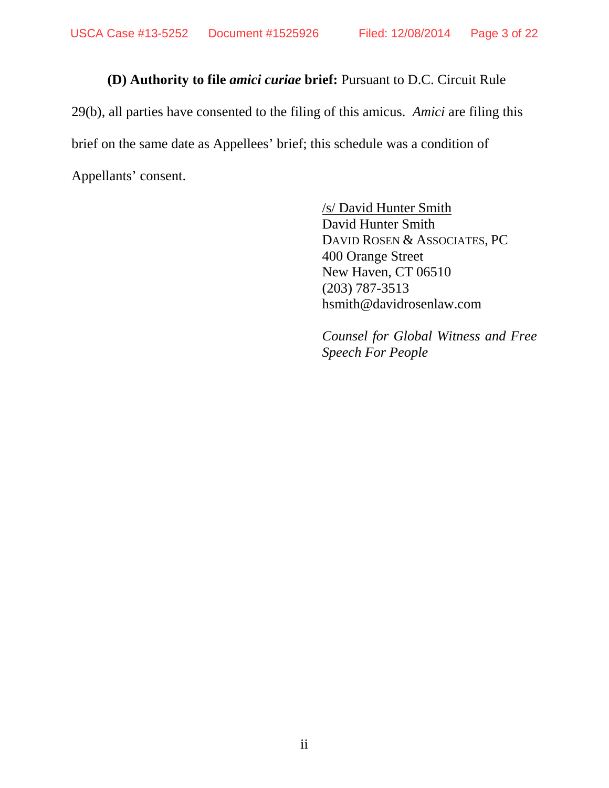# **(D) Authority to file** *amici curiae* **brief:** Pursuant to D.C. Circuit Rule

29(b), all parties have consented to the filing of this amicus. *Amici* are filing this brief on the same date as Appellees' brief; this schedule was a condition of Appellants' consent.

> /s/ David Hunter Smith David Hunter Smith DAVID ROSEN & ASSOCIATES, PC 400 Orange Street New Haven, CT 06510 (203) 787-3513 hsmith@davidrosenlaw.com

*Counsel for Global Witness and Free Speech For People*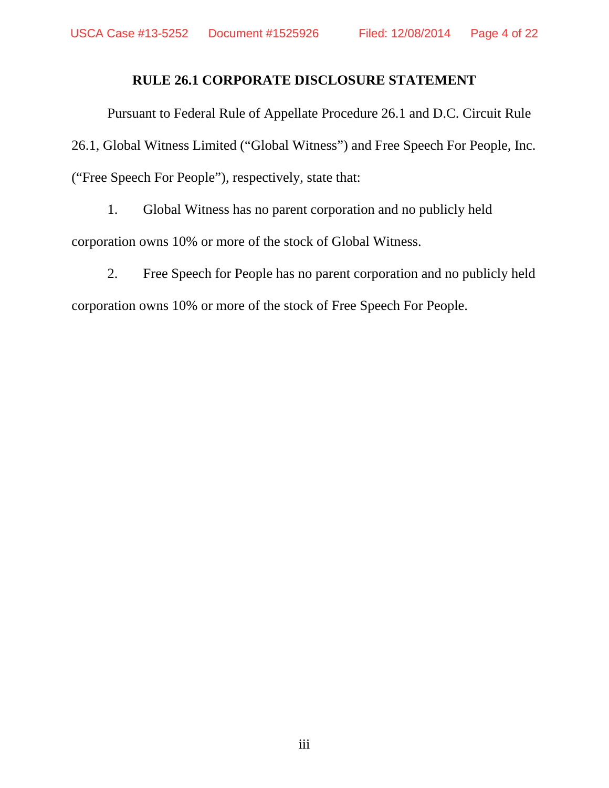### **RULE 26.1 CORPORATE DISCLOSURE STATEMENT**

Pursuant to Federal Rule of Appellate Procedure 26.1 and D.C. Circuit Rule 26.1, Global Witness Limited ("Global Witness") and Free Speech For People, Inc. ("Free Speech For People"), respectively, state that:

1. Global Witness has no parent corporation and no publicly held corporation owns 10% or more of the stock of Global Witness.

2. Free Speech for People has no parent corporation and no publicly held corporation owns 10% or more of the stock of Free Speech For People.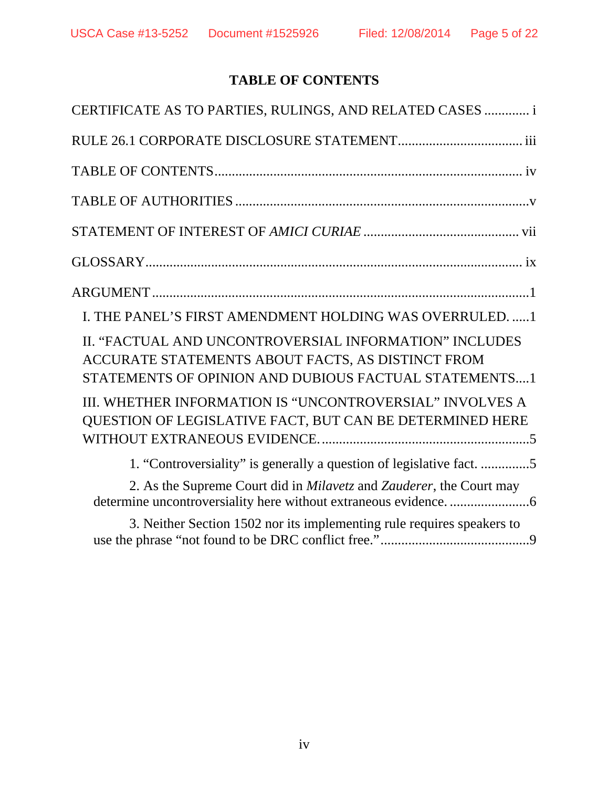# **TABLE OF CONTENTS**

| CERTIFICATE AS TO PARTIES, RULINGS, AND RELATED CASES  i                                                                                                             |
|----------------------------------------------------------------------------------------------------------------------------------------------------------------------|
|                                                                                                                                                                      |
|                                                                                                                                                                      |
|                                                                                                                                                                      |
|                                                                                                                                                                      |
|                                                                                                                                                                      |
|                                                                                                                                                                      |
| I. THE PANEL'S FIRST AMENDMENT HOLDING WAS OVERRULED1                                                                                                                |
| II. "FACTUAL AND UNCONTROVERSIAL INFORMATION" INCLUDES<br>ACCURATE STATEMENTS ABOUT FACTS, AS DISTINCT FROM<br>STATEMENTS OF OPINION AND DUBIOUS FACTUAL STATEMENTS1 |
| III. WHETHER INFORMATION IS "UNCONTROVERSIAL" INVOLVES A<br>QUESTION OF LEGISLATIVE FACT, BUT CAN BE DETERMINED HERE                                                 |
| 1. "Controversiality" is generally a question of legislative fact. 5                                                                                                 |
| 2. As the Supreme Court did in Milavetz and Zauderer, the Court may                                                                                                  |
| 3. Neither Section 1502 nor its implementing rule requires speakers to                                                                                               |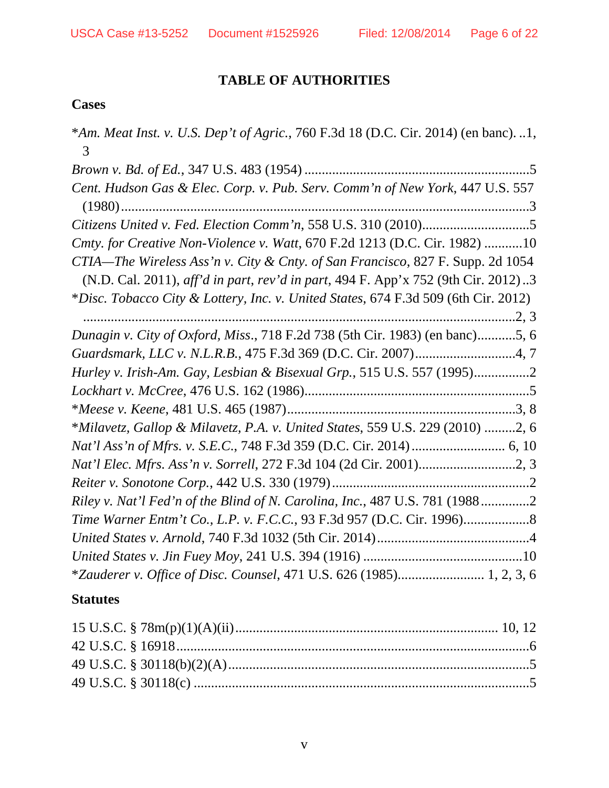# **TABLE OF AUTHORITIES**

## **Cases**

| *Am. Meat Inst. v. U.S. Dep't of Agric., 760 F.3d 18 (D.C. Cir. 2014) (en banc). 1,<br>3 |
|------------------------------------------------------------------------------------------|
|                                                                                          |
| Cent. Hudson Gas & Elec. Corp. v. Pub. Serv. Comm'n of New York, 447 U.S. 557            |
|                                                                                          |
| Cmty. for Creative Non-Violence v. Watt, 670 F.2d 1213 (D.C. Cir. 1982) 10               |
| CTIA—The Wireless Ass'n v. City & Cnty. of San Francisco, 827 F. Supp. 2d 1054           |
| (N.D. Cal. 2011), aff'd in part, rev'd in part, 494 F. App'x 752 (9th Cir. 2012)3        |
| *Disc. Tobacco City & Lottery, Inc. v. United States, 674 F.3d 509 (6th Cir. 2012)       |
|                                                                                          |
| Dunagin v. City of Oxford, Miss., 718 F.2d 738 (5th Cir. 1983) (en banc)5, 6             |
|                                                                                          |
| Hurley v. Irish-Am. Gay, Lesbian & Bisexual Grp., 515 U.S. 557 (1995)2                   |
|                                                                                          |
|                                                                                          |
| *Milavetz, Gallop & Milavetz, P.A. v. United States, 559 U.S. 229 (2010) 2, 6            |
|                                                                                          |
|                                                                                          |
|                                                                                          |
| Riley v. Nat'l Fed'n of the Blind of N. Carolina, Inc., 487 U.S. 781 (19882              |
|                                                                                          |
|                                                                                          |
|                                                                                          |
| *Zauderer v. Office of Disc. Counsel, 471 U.S. 626 (1985) 1, 2, 3, 6                     |
|                                                                                          |

## **Statutes**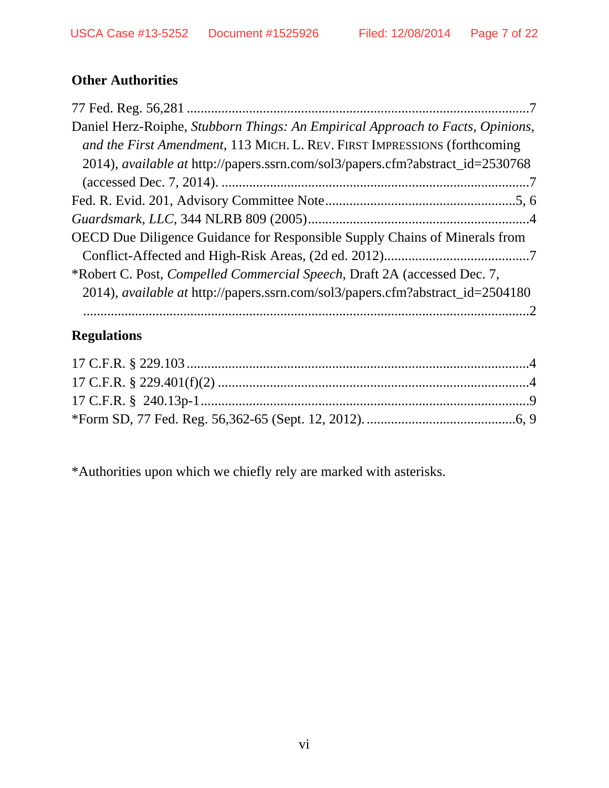# **Other Authorities**

| Daniel Herz-Roiphe, Stubborn Things: An Empirical Approach to Facts, Opinions,        |
|---------------------------------------------------------------------------------------|
| and the First Amendment, 113 MICH. L. REV. FIRST IMPRESSIONS (forthcoming             |
| 2014), available at http://papers.ssrn.com/sol3/papers.cfm?abstract_id=2530768        |
|                                                                                       |
|                                                                                       |
|                                                                                       |
| OECD Due Diligence Guidance for Responsible Supply Chains of Minerals from            |
|                                                                                       |
| *Robert C. Post, Compelled Commercial Speech, Draft 2A (accessed Dec. 7,              |
| 2014), <i>available at http://papers.ssrn.com/sol3/papers.cfm?abstract_id=2504180</i> |
|                                                                                       |

# **Regulations**

\*Authorities upon which we chiefly rely are marked with asterisks.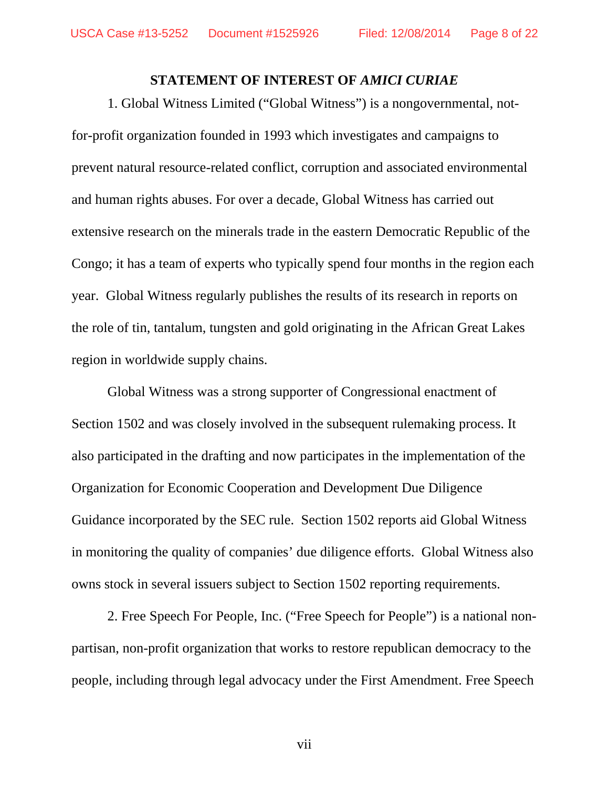#### **STATEMENT OF INTEREST OF** *AMICI CURIAE*

1. Global Witness Limited ("Global Witness") is a nongovernmental, notfor-profit organization founded in 1993 which investigates and campaigns to prevent natural resource-related conflict, corruption and associated environmental and human rights abuses. For over a decade, Global Witness has carried out extensive research on the minerals trade in the eastern Democratic Republic of the Congo; it has a team of experts who typically spend four months in the region each year. Global Witness regularly publishes the results of its research in reports on the role of tin, tantalum, tungsten and gold originating in the African Great Lakes region in worldwide supply chains.

Global Witness was a strong supporter of Congressional enactment of Section 1502 and was closely involved in the subsequent rulemaking process. It also participated in the drafting and now participates in the implementation of the Organization for Economic Cooperation and Development Due Diligence Guidance incorporated by the SEC rule. Section 1502 reports aid Global Witness in monitoring the quality of companies' due diligence efforts. Global Witness also owns stock in several issuers subject to Section 1502 reporting requirements.

2. Free Speech For People, Inc. ("Free Speech for People") is a national nonpartisan, non-profit organization that works to restore republican democracy to the people, including through legal advocacy under the First Amendment. Free Speech

vii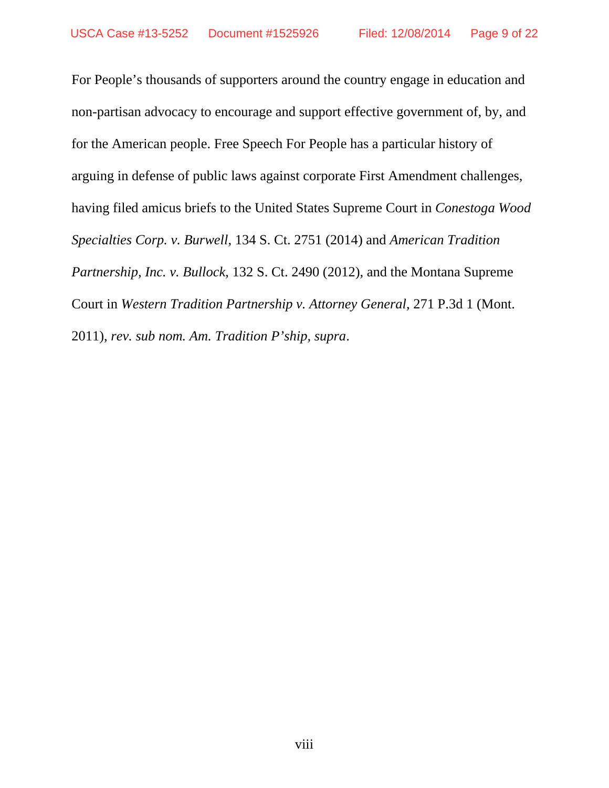For People's thousands of supporters around the country engage in education and non-partisan advocacy to encourage and support effective government of, by, and for the American people. Free Speech For People has a particular history of arguing in defense of public laws against corporate First Amendment challenges, having filed amicus briefs to the United States Supreme Court in *Conestoga Wood Specialties Corp. v. Burwell*, 134 S. Ct. 2751 (2014) and *American Tradition Partnership, Inc. v. Bullock*, 132 S. Ct. 2490 (2012), and the Montana Supreme Court in *Western Tradition Partnership v. Attorney General*, 271 P.3d 1 (Mont. 2011), *rev. sub nom. Am. Tradition P'ship, supra*.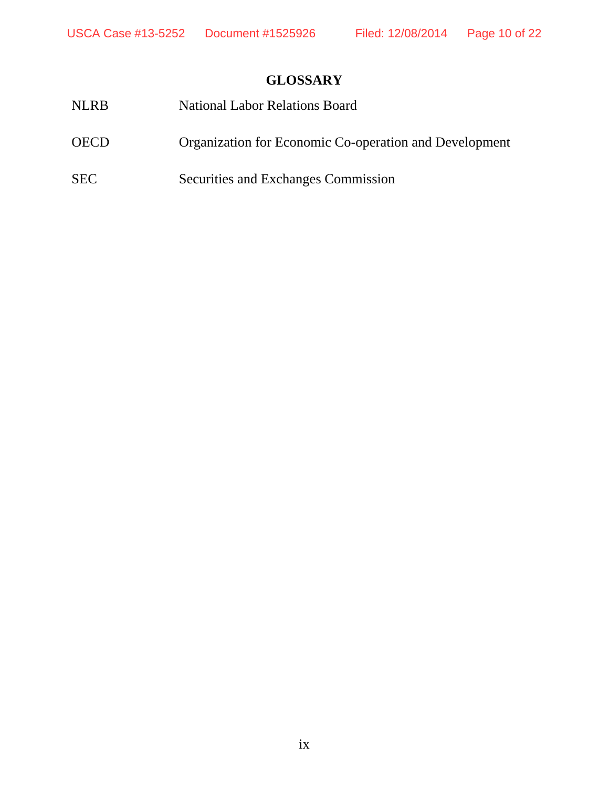# **GLOSSARY**

| <b>NLRB</b> | <b>National Labor Relations Board</b>                  |
|-------------|--------------------------------------------------------|
| <b>OECD</b> | Organization for Economic Co-operation and Development |
| <b>SEC</b>  | Securities and Exchanges Commission                    |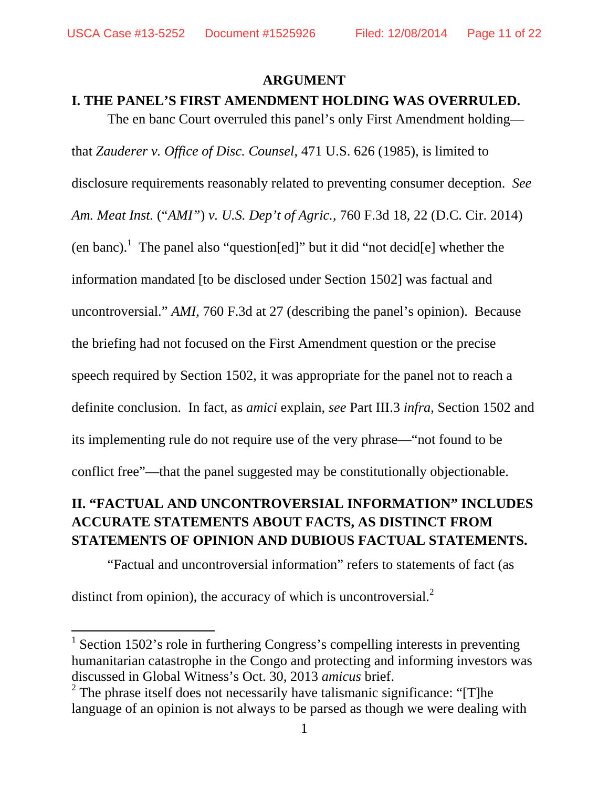#### **ARGUMENT**

The en banc Court overruled this panel's only First Amendment holding—

#### **I. THE PANEL'S FIRST AMENDMENT HOLDING WAS OVERRULED.**

that *Zauderer v. Office of Disc. Counsel*, 471 U.S. 626 (1985), is limited to disclosure requirements reasonably related to preventing consumer deception. *See Am. Meat Inst.* ("*AMI"*) *v. U.S. Dep't of Agric.*, 760 F.3d 18, 22 (D.C. Cir. 2014) (en banc).<sup>1</sup> The panel also "question[ed]" but it did "not decid[e] whether the information mandated [to be disclosed under Section 1502] was factual and uncontroversial." *AMI*, 760 F.3d at 27 (describing the panel's opinion). Because the briefing had not focused on the First Amendment question or the precise speech required by Section 1502, it was appropriate for the panel not to reach a definite conclusion. In fact, as *amici* explain, *see* Part III.3 *infra*, Section 1502 and its implementing rule do not require use of the very phrase—"not found to be conflict free"—that the panel suggested may be constitutionally objectionable.

## **II. "FACTUAL AND UNCONTROVERSIAL INFORMATION" INCLUDES ACCURATE STATEMENTS ABOUT FACTS, AS DISTINCT FROM STATEMENTS OF OPINION AND DUBIOUS FACTUAL STATEMENTS.**

"Factual and uncontroversial information" refers to statements of fact (as

distinct from opinion), the accuracy of which is uncontroversial. $2$ 

<sup>&</sup>lt;sup>1</sup> Section 1502's role in furthering Congress's compelling interests in preventing humanitarian catastrophe in the Congo and protecting and informing investors was discussed in Global Witness's Oct. 30, 2013 *amicus* brief.

<sup>&</sup>lt;sup>2</sup> The phrase itself does not necessarily have talismanic significance: "[T]he language of an opinion is not always to be parsed as though we were dealing with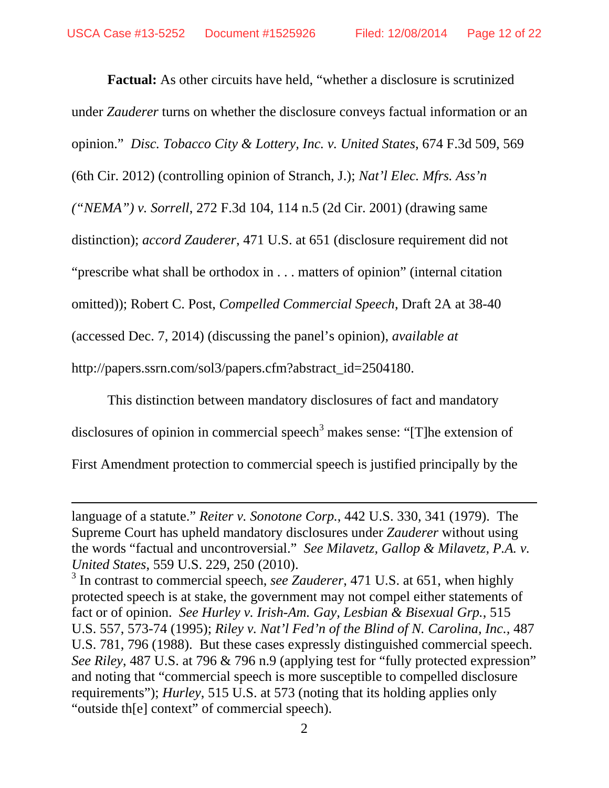**Factual:** As other circuits have held, "whether a disclosure is scrutinized under *Zauderer* turns on whether the disclosure conveys factual information or an opinion." *Disc. Tobacco City & Lottery, Inc. v. United States*, 674 F.3d 509, 569 (6th Cir. 2012) (controlling opinion of Stranch, J.); *Nat'l Elec. Mfrs. Ass'n ("NEMA") v. Sorrell*, 272 F.3d 104, 114 n.5 (2d Cir. 2001) (drawing same distinction); *accord Zauderer*, 471 U.S. at 651 (disclosure requirement did not "prescribe what shall be orthodox in . . . matters of opinion" (internal citation omitted)); Robert C. Post, *Compelled Commercial Speech*, Draft 2A at 38-40 (accessed Dec. 7, 2014) (discussing the panel's opinion), *available at*  http://papers.ssrn.com/sol3/papers.cfm?abstract\_id=2504180.

This distinction between mandatory disclosures of fact and mandatory disclosures of opinion in commercial speech<sup>3</sup> makes sense: "[T]he extension of First Amendment protection to commercial speech is justified principally by the

<u> 1989 - Jan Samuel Barbara, martxa a shekara tsa 1989 - An tsa 1989 - An tsa 1989 - An tsa 1989 - An tsa 198</u>

language of a statute." *Reiter v. Sonotone Corp.*, 442 U.S. 330, 341 (1979). The Supreme Court has upheld mandatory disclosures under *Zauderer* without using the words "factual and uncontroversial." *See Milavetz, Gallop & Milavetz, P.A. v. United States*, 559 U.S. 229, 250 (2010).

<sup>&</sup>lt;sup>3</sup> In contrast to commercial speech, *see Zauderer*, 471 U.S. at 651, when highly protected speech is at stake, the government may not compel either statements of fact or of opinion. *See Hurley v. Irish-Am. Gay, Lesbian & Bisexual Grp.*, 515 U.S. 557, 573-74 (1995); *Riley v. Nat'l Fed'n of the Blind of N. Carolina, Inc.,* 487 U.S. 781, 796 (1988). But these cases expressly distinguished commercial speech. *See Riley*, 487 U.S. at 796 & 796 n.9 (applying test for "fully protected expression" and noting that "commercial speech is more susceptible to compelled disclosure requirements"); *Hurley*, 515 U.S. at 573 (noting that its holding applies only "outside th[e] context" of commercial speech).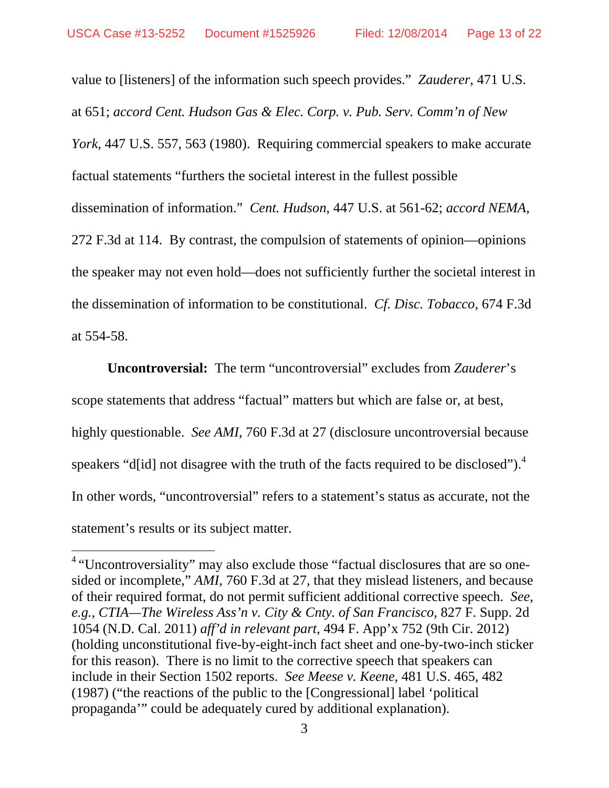value to [listeners] of the information such speech provides." *Zauderer*, 471 U.S. at 651; *accord Cent. Hudson Gas & Elec. Corp. v. Pub. Serv. Comm'n of New York*, 447 U.S. 557, 563 (1980). Requiring commercial speakers to make accurate factual statements "furthers the societal interest in the fullest possible dissemination of information." *Cent. Hudson*, 447 U.S. at 561-62; *accord NEMA*, 272 F.3d at 114. By contrast, the compulsion of statements of opinion—opinions the speaker may not even hold—does not sufficiently further the societal interest in the dissemination of information to be constitutional. *Cf. Disc. Tobacco*, 674 F.3d at 554-58.

**Uncontroversial:** The term "uncontroversial" excludes from *Zauderer*'s scope statements that address "factual" matters but which are false or, at best, highly questionable. *See AMI*, 760 F.3d at 27 (disclosure uncontroversial because speakers "d[id] not disagree with the truth of the facts required to be disclosed"). $4$ In other words, "uncontroversial" refers to a statement's status as accurate, not the statement's results or its subject matter.

<sup>&</sup>lt;sup>4</sup> "Uncontroversiality" may also exclude those "factual disclosures that are so onesided or incomplete," *AMI*, 760 F.3d at 27, that they mislead listeners, and because of their required format, do not permit sufficient additional corrective speech. *See*, *e.g.*, *CTIA—The Wireless Ass'n v. City & Cnty. of San Francisco*, 827 F. Supp. 2d 1054 (N.D. Cal. 2011) *aff'd in relevant part*, 494 F. App'x 752 (9th Cir. 2012) (holding unconstitutional five-by-eight-inch fact sheet and one-by-two-inch sticker for this reason). There is no limit to the corrective speech that speakers can include in their Section 1502 reports. *See Meese v. Keene*, 481 U.S. 465, 482 (1987) ("the reactions of the public to the [Congressional] label 'political propaganda'" could be adequately cured by additional explanation).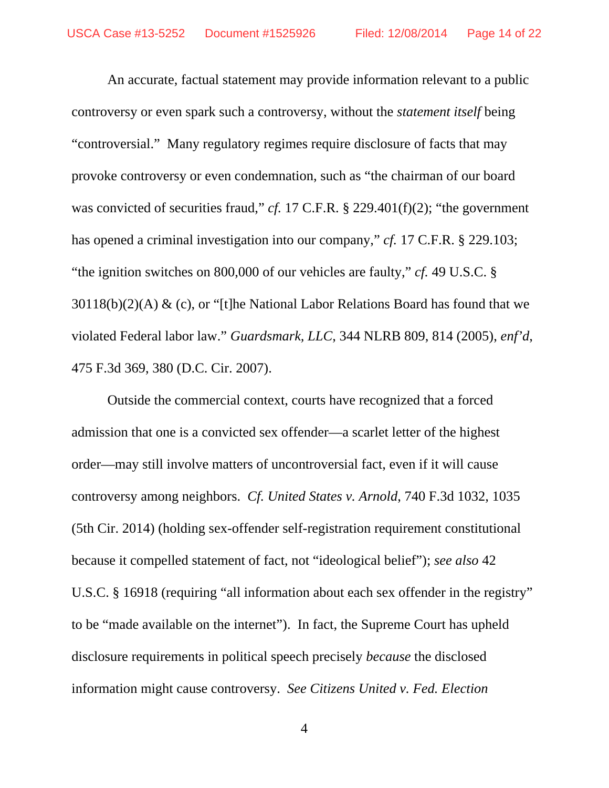An accurate, factual statement may provide information relevant to a public controversy or even spark such a controversy, without the *statement itself* being "controversial." Many regulatory regimes require disclosure of facts that may provoke controversy or even condemnation, such as "the chairman of our board was convicted of securities fraud," *cf.* 17 C.F.R. § 229.401(f)(2); "the government has opened a criminal investigation into our company," *cf.* 17 C.F.R. § 229.103; "the ignition switches on 800,000 of our vehicles are faulty," *cf.* 49 U.S.C. §  $30118(b)(2)(A)$  & (c), or "[t]he National Labor Relations Board has found that we violated Federal labor law." *Guardsmark, LLC*, 344 NLRB 809, 814 (2005), *enf'd*, 475 F.3d 369, 380 (D.C. Cir. 2007).

Outside the commercial context, courts have recognized that a forced admission that one is a convicted sex offender—a scarlet letter of the highest order—may still involve matters of uncontroversial fact, even if it will cause controversy among neighbors. *Cf. United States v. Arnold*, 740 F.3d 1032, 1035 (5th Cir. 2014) (holding sex-offender self-registration requirement constitutional because it compelled statement of fact, not "ideological belief"); *see also* 42 U.S.C. § 16918 (requiring "all information about each sex offender in the registry" to be "made available on the internet"). In fact, the Supreme Court has upheld disclosure requirements in political speech precisely *because* the disclosed information might cause controversy. *See Citizens United v. Fed. Election*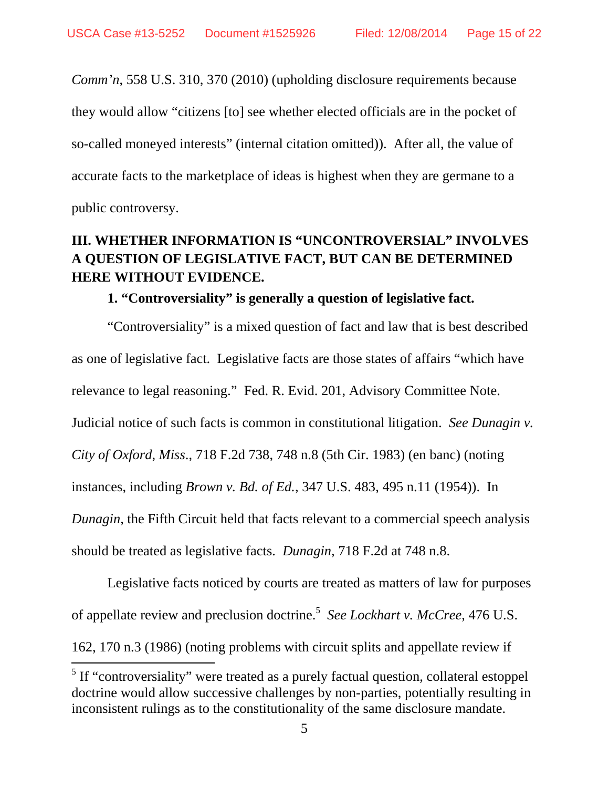*Comm'n*, 558 U.S. 310, 370 (2010) (upholding disclosure requirements because they would allow "citizens [to] see whether elected officials are in the pocket of so-called moneyed interests" (internal citation omitted)). After all, the value of accurate facts to the marketplace of ideas is highest when they are germane to a public controversy.

## **III. WHETHER INFORMATION IS "UNCONTROVERSIAL" INVOLVES A QUESTION OF LEGISLATIVE FACT, BUT CAN BE DETERMINED HERE WITHOUT EVIDENCE.**

### **1. "Controversiality" is generally a question of legislative fact.**

"Controversiality" is a mixed question of fact and law that is best described as one of legislative fact. Legislative facts are those states of affairs "which have relevance to legal reasoning." Fed. R. Evid. 201, Advisory Committee Note. Judicial notice of such facts is common in constitutional litigation. *See Dunagin v. City of Oxford, Miss*., 718 F.2d 738, 748 n.8 (5th Cir. 1983) (en banc) (noting instances, including *Brown v. Bd. of Ed.*, 347 U.S. 483, 495 n.11 (1954)). In *Dunagin*, the Fifth Circuit held that facts relevant to a commercial speech analysis should be treated as legislative facts. *Dunagin*, 718 F.2d at 748 n.8.

Legislative facts noticed by courts are treated as matters of law for purposes of appellate review and preclusion doctrine.<sup>5</sup> See Lockhart v. McCree, 476 U.S.

162, 170 n.3 (1986) (noting problems with circuit splits and appellate review if 

 $<sup>5</sup>$  If "controversiality" were treated as a purely factual question, collateral estoppel</sup> doctrine would allow successive challenges by non-parties, potentially resulting in inconsistent rulings as to the constitutionality of the same disclosure mandate.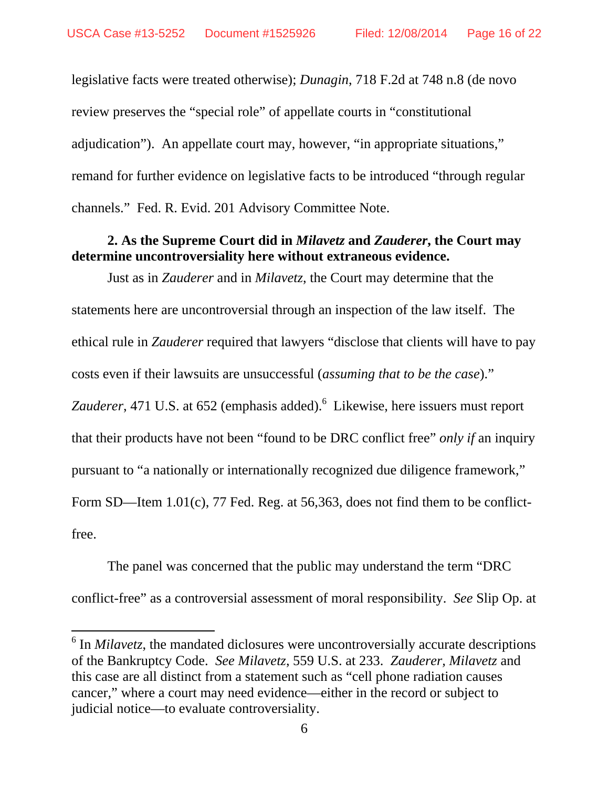legislative facts were treated otherwise); *Dunagin*, 718 F.2d at 748 n.8 (de novo review preserves the "special role" of appellate courts in "constitutional adjudication"). An appellate court may, however, "in appropriate situations," remand for further evidence on legislative facts to be introduced "through regular channels." Fed. R. Evid. 201 Advisory Committee Note.

### **2. As the Supreme Court did in** *Milavetz* **and** *Zauderer***, the Court may determine uncontroversiality here without extraneous evidence.**

Just as in *Zauderer* and in *Milavetz*, the Court may determine that the statements here are uncontroversial through an inspection of the law itself. The ethical rule in *Zauderer* required that lawyers "disclose that clients will have to pay costs even if their lawsuits are unsuccessful (*assuming that to be the case*)." Zauderer, 471 U.S. at 652 (emphasis added).<sup>6</sup> Likewise, here issuers must report that their products have not been "found to be DRC conflict free" *only if* an inquiry pursuant to "a nationally or internationally recognized due diligence framework," Form SD—Item 1.01(c), 77 Fed. Reg. at 56,363, does not find them to be conflictfree.

The panel was concerned that the public may understand the term "DRC conflict-free" as a controversial assessment of moral responsibility. *See* Slip Op. at

<sup>&</sup>lt;sup>6</sup> In *Milavetz*, the mandated diclosures were uncontroversially accurate descriptions of the Bankruptcy Code. *See Milavetz*, 559 U.S. at 233. *Zauderer, Milavetz* and this case are all distinct from a statement such as "cell phone radiation causes cancer," where a court may need evidence—either in the record or subject to judicial notice—to evaluate controversiality.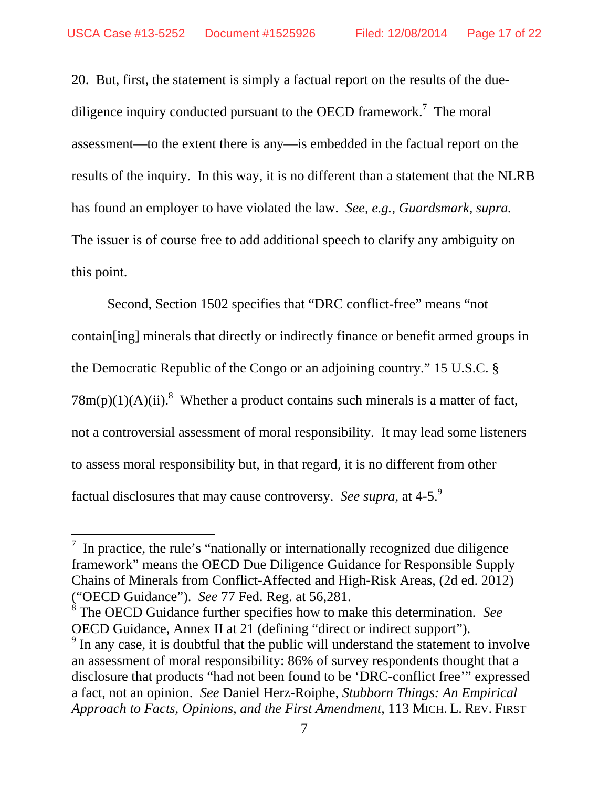20. But, first, the statement is simply a factual report on the results of the duediligence inquiry conducted pursuant to the OECD framework.<sup>7</sup> The moral assessment—to the extent there is any—is embedded in the factual report on the results of the inquiry. In this way, it is no different than a statement that the NLRB has found an employer to have violated the law. *See, e.g.*, *Guardsmark, supra.*  The issuer is of course free to add additional speech to clarify any ambiguity on this point.

Second, Section 1502 specifies that "DRC conflict-free" means "not contain[ing] minerals that directly or indirectly finance or benefit armed groups in the Democratic Republic of the Congo or an adjoining country." 15 U.S.C. §  $78m(p)(1)(A)(ii).$ <sup>8</sup> Whether a product contains such minerals is a matter of fact, not a controversial assessment of moral responsibility. It may lead some listeners to assess moral responsibility but, in that regard, it is no different from other factual disclosures that may cause controversy. *See supra*, at 4-5.<sup>9</sup>

 $\frac{7}{1}$  In practice, the rule's "nationally or internationally recognized due diligence framework" means the OECD Due Diligence Guidance for Responsible Supply Chains of Minerals from Conflict-Affected and High-Risk Areas, (2d ed. 2012) ("OECD Guidance"). *See* 77 Fed. Reg. at 56,281.

<sup>8</sup> The OECD Guidance further specifies how to make this determination*. See* OECD Guidance, Annex II at 21 (defining "direct or indirect support").

 $9<sup>9</sup>$  In any case, it is doubtful that the public will understand the statement to involve an assessment of moral responsibility: 86% of survey respondents thought that a disclosure that products "had not been found to be 'DRC-conflict free'" expressed a fact, not an opinion. *See* Daniel Herz-Roiphe, *Stubborn Things: An Empirical Approach to Facts, Opinions, and the First Amendment*, 113 MICH. L. REV. FIRST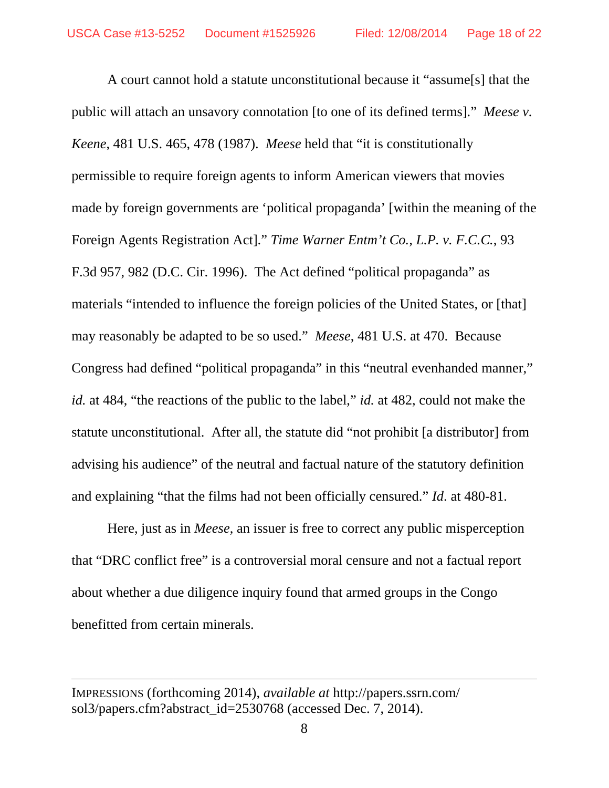A court cannot hold a statute unconstitutional because it "assume[s] that the public will attach an unsavory connotation [to one of its defined terms]." *Meese v. Keene*, 481 U.S. 465, 478 (1987). *Meese* held that "it is constitutionally permissible to require foreign agents to inform American viewers that movies made by foreign governments are 'political propaganda' [within the meaning of the Foreign Agents Registration Act]." *Time Warner Entm't Co., L.P. v. F.C.C.*, 93 F.3d 957, 982 (D.C. Cir. 1996). The Act defined "political propaganda" as materials "intended to influence the foreign policies of the United States, or [that] may reasonably be adapted to be so used." *Meese*, 481 U.S. at 470. Because Congress had defined "political propaganda" in this "neutral evenhanded manner," *id.* at 484, "the reactions of the public to the label," *id.* at 482, could not make the statute unconstitutional. After all, the statute did "not prohibit [a distributor] from advising his audience" of the neutral and factual nature of the statutory definition and explaining "that the films had not been officially censured." *Id*. at 480-81.

Here, just as in *Meese*, an issuer is free to correct any public misperception that "DRC conflict free" is a controversial moral censure and not a factual report about whether a due diligence inquiry found that armed groups in the Congo benefitted from certain minerals.

<u> 1989 - Johann Stein, marwolaethau a gweledydd a ganlad y ganlad y ganlad y ganlad y ganlad y ganlad y ganlad</u>

IMPRESSIONS (forthcoming 2014), *available at* http://papers.ssrn.com/ sol3/papers.cfm?abstract\_id=2530768 (accessed Dec. 7, 2014).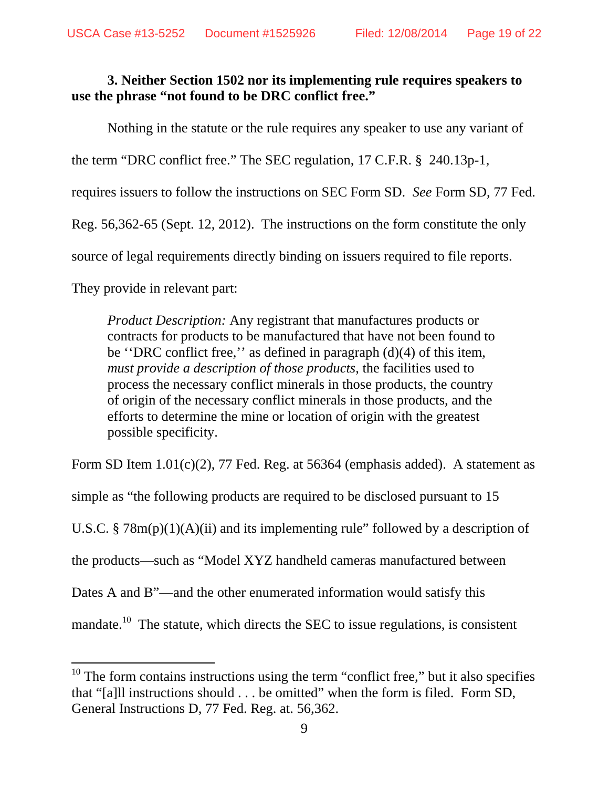## **3. Neither Section 1502 nor its implementing rule requires speakers to use the phrase "not found to be DRC conflict free."**

Nothing in the statute or the rule requires any speaker to use any variant of the term "DRC conflict free." The SEC regulation, 17 C.F.R. § 240.13p-1, requires issuers to follow the instructions on SEC Form SD. *See* Form SD, 77 Fed. Reg. 56,362-65 (Sept. 12, 2012). The instructions on the form constitute the only source of legal requirements directly binding on issuers required to file reports. They provide in relevant part:

*Product Description:* Any registrant that manufactures products or contracts for products to be manufactured that have not been found to be ''DRC conflict free,'' as defined in paragraph (d)(4) of this item, *must provide a description of those products*, the facilities used to process the necessary conflict minerals in those products, the country of origin of the necessary conflict minerals in those products, and the efforts to determine the mine or location of origin with the greatest possible specificity.

Form SD Item 1.01(c)(2), 77 Fed. Reg. at 56364 (emphasis added).A statement as simple as "the following products are required to be disclosed pursuant to 15 U.S.C. §  $78m(p)(1)(A)(ii)$  and its implementing rule" followed by a description of the products—such as "Model XYZ handheld cameras manufactured between Dates A and B<sup>"</sup>—and the other enumerated information would satisfy this mandate.<sup>10</sup> The statute, which directs the SEC to issue regulations, is consistent

 $10$  The form contains instructions using the term "conflict free," but it also specifies that "[a]ll instructions should . . . be omitted" when the form is filed. Form SD, General Instructions D, 77 Fed. Reg. at. 56,362.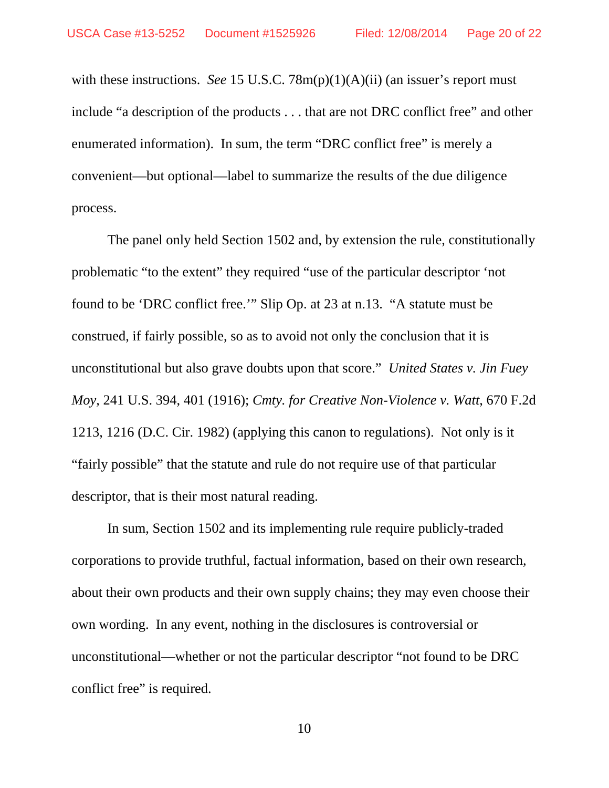with these instructions. *See* 15 U.S.C. 78m(p)(1)(A)(ii) (an issuer's report must include "a description of the products . . . that are not DRC conflict free" and other enumerated information). In sum, the term "DRC conflict free" is merely a convenient—but optional—label to summarize the results of the due diligence process.

The panel only held Section 1502 and, by extension the rule, constitutionally problematic "to the extent" they required "use of the particular descriptor 'not found to be 'DRC conflict free.'" Slip Op. at 23 at n.13. "A statute must be construed, if fairly possible, so as to avoid not only the conclusion that it is unconstitutional but also grave doubts upon that score." *United States v. Jin Fuey Moy*, 241 U.S. 394, 401 (1916); *Cmty. for Creative Non-Violence v. Watt*, 670 F.2d 1213, 1216 (D.C. Cir. 1982) (applying this canon to regulations). Not only is it "fairly possible" that the statute and rule do not require use of that particular descriptor, that is their most natural reading.

In sum, Section 1502 and its implementing rule require publicly-traded corporations to provide truthful, factual information, based on their own research, about their own products and their own supply chains; they may even choose their own wording. In any event, nothing in the disclosures is controversial or unconstitutional—whether or not the particular descriptor "not found to be DRC conflict free" is required.

10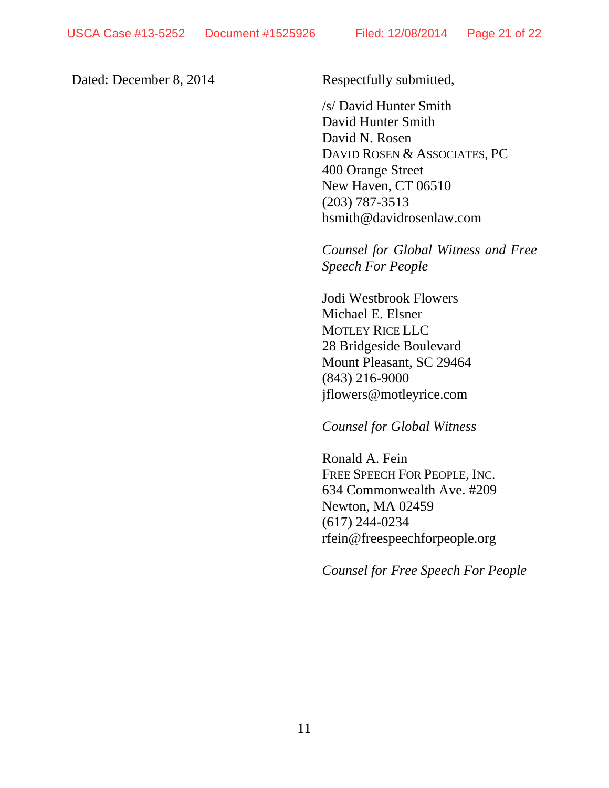Dated: December 8, 2014 Respectfully submitted,

 /s/ David Hunter Smith David Hunter Smith David N. Rosen DAVID ROSEN & ASSOCIATES, PC 400 Orange Street New Haven, CT 06510 (203) 787-3513 hsmith@davidrosenlaw.com

*Counsel for Global Witness and Free Speech For People* 

Jodi Westbrook Flowers Michael E. Elsner MOTLEY RICE LLC 28 Bridgeside Boulevard Mount Pleasant, SC 29464 (843) 216-9000 jflowers@motleyrice.com

#### *Counsel for Global Witness*

Ronald A. Fein FREE SPEECH FOR PEOPLE, INC. 634 Commonwealth Ave. #209 Newton, MA 02459 (617) 244-0234 rfein@freespeechforpeople.org

*Counsel for Free Speech For People*